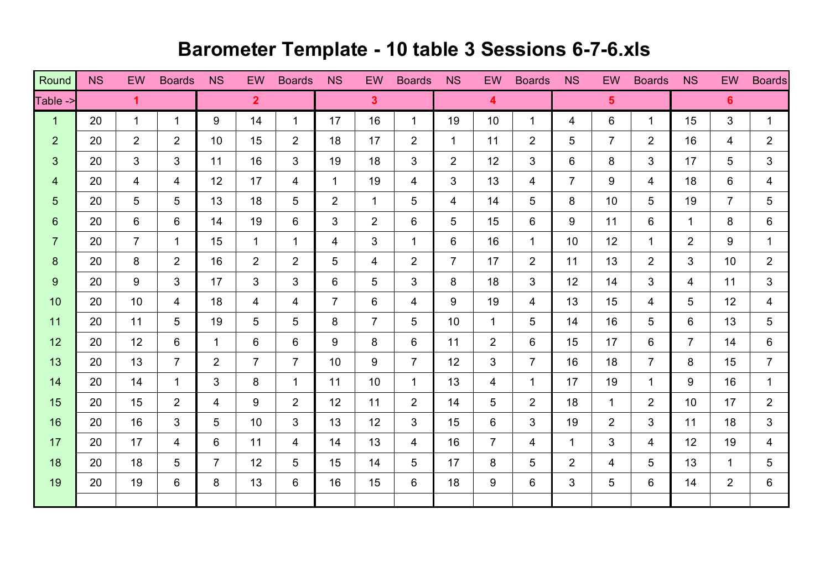## **Barometer Template - 10 table 3 Sessions 6-7-6.xls**

| Round          | <b>NS</b> | EW             | <b>Boards</b>  | <b>NS</b>      | EW             | <b>Boards</b>  | <b>NS</b>      | EW             | <b>Boards</b>  | <b>NS</b>      | <b>EW</b>               | <b>Boards</b>  | <b>NS</b>      | EW             | <b>Boards</b>  | <b>NS</b>       | EW              | <b>Boards</b>  |
|----------------|-----------|----------------|----------------|----------------|----------------|----------------|----------------|----------------|----------------|----------------|-------------------------|----------------|----------------|----------------|----------------|-----------------|-----------------|----------------|
| Table ->       |           | $\mathbf{1}$   |                |                | 2 <sup>1</sup> |                |                | $\mathbf{3}$   |                |                | $\overline{\mathbf{4}}$ |                |                | 5 <sup>5</sup> |                |                 | $6 \,$          |                |
| $\mathbf{1}$   | 20        | $\mathbf{1}$   | $\mathbf{1}$   | 9              | 14             | $\mathbf 1$    | 17             | 16             | $\mathbf 1$    | 19             | 10                      | $\mathbf 1$    | 4              | 6              | $\mathbf{1}$   | 15              | 3               | $\mathbf{1}$   |
| $\overline{2}$ | 20        | $\overline{2}$ | $\overline{2}$ | 10             | 15             | $\overline{2}$ | 18             | 17             | $\overline{2}$ | $\mathbf{1}$   | 11                      | 2              | 5              | $\overline{7}$ | $\overline{2}$ | 16              | $\overline{4}$  | $\overline{2}$ |
| 3              | 20        | 3              | 3              | 11             | 16             | 3              | 19             | 18             | 3              | $\overline{2}$ | 12                      | 3              | 6              | 8              | 3              | 17              | 5               | 3              |
| $\overline{4}$ | 20        | 4              | $\overline{4}$ | 12             | 17             | 4              | $\mathbf{1}$   | 19             | 4              | 3              | 13                      | 4              | $\overline{7}$ | 9              | 4              | 18              | 6               | $\overline{4}$ |
| $\overline{5}$ | 20        | 5              | 5              | 13             | 18             | 5              | $\overline{2}$ | $\mathbf{1}$   | 5              | 4              | 14                      | 5              | 8              | 10             | 5              | 19              | $\overline{7}$  | 5              |
| $6\phantom{1}$ | 20        | 6              | 6              | 14             | 19             | 6              | 3              | $\overline{2}$ | 6              | 5              | 15                      | 6              | 9              | 11             | 6              | $\mathbf{1}$    | 8               | 6              |
| $\overline{7}$ | 20        | $\overline{7}$ | $\mathbf{1}$   | 15             | $\mathbf{1}$   | $\mathbf 1$    | 4              | 3              | 1              | 6              | 16                      | $\mathbf 1$    | 10             | 12             | $\mathbf 1$    | $\overline{2}$  | 9               | $\mathbf{1}$   |
| 8              | 20        | 8              | $\overline{2}$ | 16             | 2              | $\overline{2}$ | 5              | 4              | 2              | $\overline{7}$ | 17                      | $\overline{2}$ | 11             | 13             | $\overline{2}$ | 3               | 10 <sup>°</sup> | $\overline{2}$ |
| $9$            | 20        | 9              | 3              | 17             | 3              | 3              | 6              | 5              | 3              | 8              | 18                      | 3              | 12             | 14             | 3              | 4               | 11              | 3              |
| 10             | 20        | 10             | $\overline{4}$ | 18             | $\overline{4}$ | $\overline{4}$ | $\overline{7}$ | 6              | $\overline{4}$ | 9              | 19                      | $\overline{4}$ | 13             | 15             | $\overline{4}$ | 5               | 12              | $\overline{4}$ |
| 11             | 20        | 11             | 5              | 19             | 5              | 5              | 8              | $\overline{7}$ | 5              | 10             | $\mathbf{1}$            | 5              | 14             | 16             | 5              | 6               | 13              | 5              |
| 12             | 20        | 12             | 6              | 1              | 6              | 6              | 9              | 8              | 6              | 11             | $\overline{2}$          | 6              | 15             | 17             | 6              | $\overline{7}$  | 14              | 6              |
| 13             | 20        | 13             | $\overline{7}$ | $\overline{2}$ | $\overline{7}$ | $\overline{7}$ | 10             | 9              | $\overline{7}$ | 12             | 3                       | $\overline{7}$ | 16             | 18             | $7^{\circ}$    | 8               | 15              | $\overline{7}$ |
| 14             | 20        | 14             | $\mathbf{1}$   | 3              | 8              | $\mathbf 1$    | 11             | 10             | $\mathbf 1$    | 13             | 4                       | $\mathbf 1$    | 17             | 19             | $\mathbf 1$    | 9               | 16              | $\mathbf{1}$   |
| 15             | 20        | 15             | $\overline{2}$ | 4              | 9              | $\overline{2}$ | 12             | 11             | $\overline{2}$ | 14             | 5                       | $\overline{2}$ | 18             | $\mathbf{1}$   | $\overline{2}$ | 10 <sup>1</sup> | 17              | $\overline{2}$ |
| 16             | 20        | 16             | 3              | 5              | 10             | 3              | 13             | 12             | 3              | 15             | 6                       | 3              | 19             | $\overline{2}$ | 3              | 11              | 18              | 3              |
| 17             | 20        | 17             | $\overline{4}$ | 6              | 11             | $\overline{4}$ | 14             | 13             | $\overline{4}$ | 16             | $\overline{7}$          | $\overline{4}$ | $\mathbf{1}$   | 3              | $\overline{4}$ | 12              | 19              | $\overline{4}$ |
| 18             | 20        | 18             | 5              | $\overline{7}$ | 12             | 5              | 15             | 14             | 5              | 17             | 8                       | 5              | $\overline{2}$ | 4              | 5              | 13              | $\mathbf 1$     | 5              |
| 19             | 20        | 19             | 6              | 8              | 13             | 6              | 16             | 15             | 6              | 18             | 9                       | 6              | 3              | 5              | 6              | 14              | $\overline{2}$  | 6              |
|                |           |                |                |                |                |                |                |                |                |                |                         |                |                |                |                |                 |                 |                |